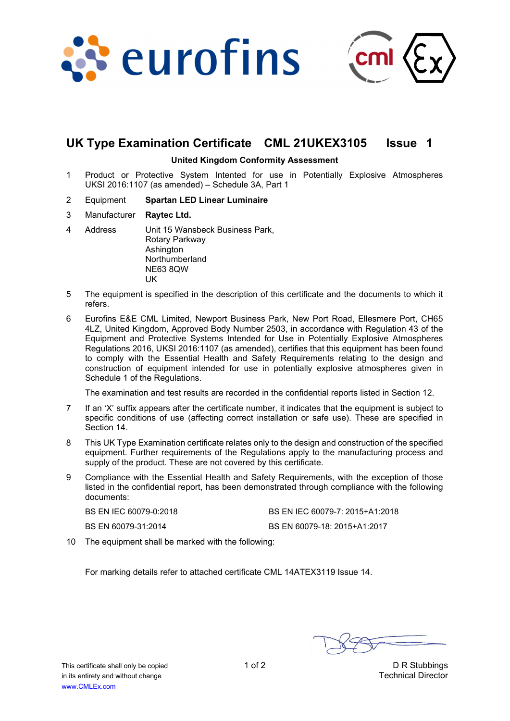



# **UK Type Examination Certificate CML 21UKEX3105 Issue 1**

#### **United Kingdom Conformity Assessment**

- 1 Product or Protective System Intented for use in Potentially Explosive Atmospheres UKSI 2016:1107 (as amended) – Schedule 3A, Part 1
- 2 Equipment **Spartan LED Linear Luminaire**
- 3 Manufacturer **Raytec Ltd.**
- 4 Address Unit 15 Wansbeck Business Park, Rotary Parkway Ashington Northumberland NE63 8QW UK
- 5 The equipment is specified in the description of this certificate and the documents to which it refers.
- 6 Eurofins E&E CML Limited, Newport Business Park, New Port Road, Ellesmere Port, CH65 4LZ, United Kingdom, Approved Body Number 2503, in accordance with Regulation 43 of the Equipment and Protective Systems Intended for Use in Potentially Explosive Atmospheres Regulations 2016, UKSI 2016:1107 (as amended), certifies that this equipment has been found to comply with the Essential Health and Safety Requirements relating to the design and construction of equipment intended for use in potentially explosive atmospheres given in Schedule 1 of the Regulations.

The examination and test results are recorded in the confidential reports listed in Section 12.

- 7 If an 'X' suffix appears after the certificate number, it indicates that the equipment is subject to specific conditions of use (affecting correct installation or safe use). These are specified in Section 14.
- 8 This UK Type Examination certificate relates only to the design and construction of the specified equipment. Further requirements of the Regulations apply to the manufacturing process and supply of the product. These are not covered by this certificate.
- 9 Compliance with the Essential Health and Safety Requirements, with the exception of those listed in the confidential report, has been demonstrated through compliance with the following documents:

| BS EN IEC 60079-0:2018 | BS EN IEC 60079-7: 2015+A1:2018 |
|------------------------|---------------------------------|
| BS EN 60079-31:2014    | BS EN 60079-18: 2015+A1:2017    |

10 The equipment shall be marked with the following:

For marking details refer to attached certificate CML 14ATEX3119 Issue 14.

This certificate shall only be copied 1 of 2 1 of 2 D R Stubbings in its entirety and without change Technical Director www.CMLEx.com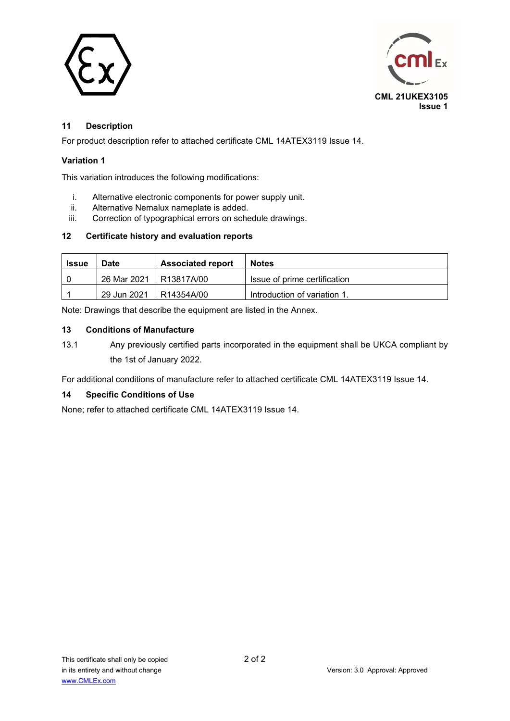



## **11 Description**

For product description refer to attached certificate CML 14ATEX3119 Issue 14.

### **Variation 1**

This variation introduces the following modifications:

- i. Alternative electronic components for power supply unit.
- ii. Alternative Nemalux nameplate is added.
- iii. Correction of typographical errors on schedule drawings.

#### **12 Certificate history and evaluation reports**

| <b>Issue</b> | <b>Date</b>              | <b>Associated report</b> | <b>Notes</b>                 |
|--------------|--------------------------|--------------------------|------------------------------|
|              | 26 Mar 2021   R13817A/00 |                          | Issue of prime certification |
|              | 29 Jun 2021              | R14354A/00               | Introduction of variation 1. |

Note: Drawings that describe the equipment are listed in the Annex.

#### **13 Conditions of Manufacture**

13.1 Any previously certified parts incorporated in the equipment shall be UKCA compliant by the 1st of January 2022.

For additional conditions of manufacture refer to attached certificate CML 14ATEX3119 Issue 14.

### **14 Specific Conditions of Use**

None; refer to attached certificate CML 14ATEX3119 Issue 14.